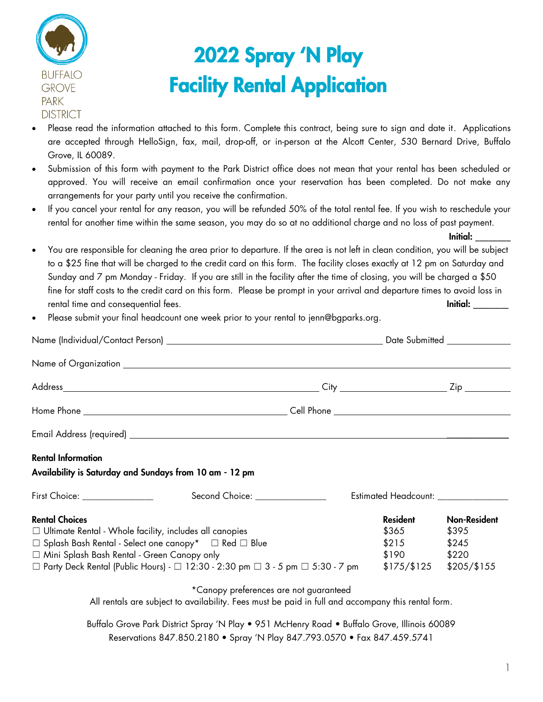

# 2022 Spray 'N Play Facility Rental Application

- Please read the information attached to this form. Complete this contract, being sure to sign and date it. Applications are accepted through HelloSign, fax, mail, drop-off, or in-person at the Alcott Center, 530 Bernard Drive, Buffalo Grove, IL 60089.
- Submission of this form with payment to the Park District office does not mean that your rental has been scheduled or approved. You will receive an email confirmation once your reservation has been completed. Do not make any arrangements for your party until you receive the confirmation.
- If you cancel your rental for any reason, you will be refunded 50% of the total rental fee. If you wish to reschedule your rental for another time within the same season, you may do so at no additional charge and no loss of past payment.

Initial: \_\_\_\_\_\_\_\_

- You are responsible for cleaning the area prior to departure. If the area is not left in clean condition, you will be subject to a \$25 fine that will be charged to the credit card on this form. The facility closes exactly at 12 pm on Saturday and Sunday and 7 pm Monday - Friday. If you are still in the facility after the time of closing, you will be charged a \$50 fine for staff costs to the credit card on this form. Please be prompt in your arrival and departure times to avoid loss in rental time and consequential fees. Initial:  $\blacksquare$
- Please submit your final headcount one week prior to your rental to jenn@bgparks.org.

|                                                                                                         | Date Submitted ________________                                                                    |                                      |                     |
|---------------------------------------------------------------------------------------------------------|----------------------------------------------------------------------------------------------------|--------------------------------------|---------------------|
|                                                                                                         |                                                                                                    |                                      |                     |
|                                                                                                         |                                                                                                    |                                      |                     |
|                                                                                                         |                                                                                                    |                                      |                     |
|                                                                                                         |                                                                                                    |                                      |                     |
| <b>Rental Information</b>                                                                               |                                                                                                    |                                      |                     |
| Availability is Saturday and Sundays from 10 am - 12 pm                                                 |                                                                                                    |                                      |                     |
|                                                                                                         |                                                                                                    | Estimated Headcount: _______________ |                     |
| <b>Rental Choices</b>                                                                                   |                                                                                                    | Resident                             | <b>Non-Resident</b> |
| $\Box$ Ultimate Rental - Whole facility, includes all canopies                                          | \$365                                                                                              | \$395                                |                     |
| □ Splash Bash Rental - Select one canopy* □ Red □ Blue                                                  |                                                                                                    | \$215                                | \$245               |
| □ Mini Splash Bash Rental - Green Canopy only                                                           |                                                                                                    | $$190$ $$220$                        |                     |
| □ Party Deck Rental (Public Hours) - □ 12:30 - 2:30 pm □ 3 - 5 pm □ 5:30 - 7 pm \$175/\$125 \$205/\$155 |                                                                                                    |                                      |                     |
|                                                                                                         | *Canopy preferences are not guaranteed                                                             |                                      |                     |
|                                                                                                         | All rentals are subject to availability. Fees must be paid in full and accompany this rental form. |                                      |                     |
|                                                                                                         | Buffalo Grove Park District Spray 'N Play • 951 McHenry Road • Buffalo Grove, Illinois 60089       |                                      |                     |

Reservations 847.850.2180 • Spray 'N Play 847.793.0570 • Fax 847.459.5741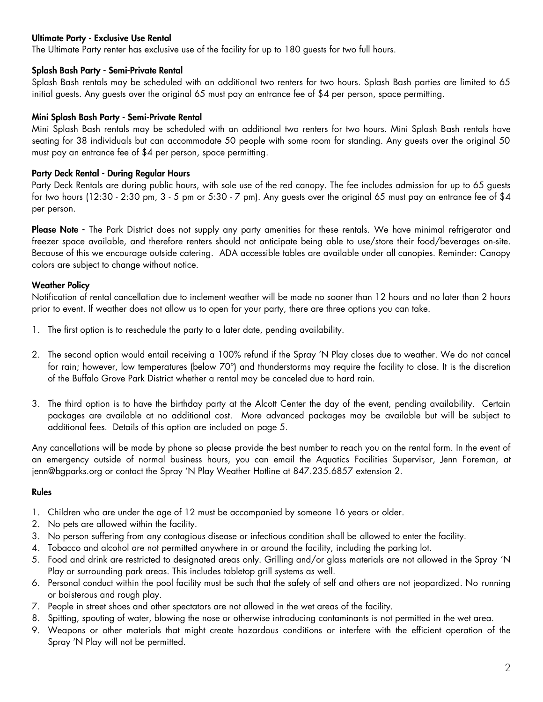#### Ultimate Party - Exclusive Use Rental

The Ultimate Party renter has exclusive use of the facility for up to 180 guests for two full hours.

#### Splash Bash Party - Semi-Private Rental

Splash Bash rentals may be scheduled with an additional two renters for two hours. Splash Bash parties are limited to 65 initial guests. Any guests over the original 65 must pay an entrance fee of \$4 per person, space permitting.

#### Mini Splash Bash Party - Semi-Private Rental

Mini Splash Bash rentals may be scheduled with an additional two renters for two hours. Mini Splash Bash rentals have seating for 38 individuals but can accommodate 50 people with some room for standing. Any guests over the original 50 must pay an entrance fee of \$4 per person, space permitting.

#### Party Deck Rental - During Regular Hours

Party Deck Rentals are during public hours, with sole use of the red canopy. The fee includes admission for up to 65 guests for two hours (12:30 - 2:30 pm, 3 - 5 pm or 5:30 - 7 pm). Any guests over the original 65 must pay an entrance fee of \$4 per person.

Please Note - The Park District does not supply any party amenities for these rentals. We have minimal refrigerator and freezer space available, and therefore renters should not anticipate being able to use/store their food/beverages on-site. Because of this we encourage outside catering. ADA accessible tables are available under all canopies. Reminder: Canopy colors are subject to change without notice.

#### Weather Policy

Notification of rental cancellation due to inclement weather will be made no sooner than 12 hours and no later than 2 hours prior to event. If weather does not allow us to open for your party, there are three options you can take.

- 1. The first option is to reschedule the party to a later date, pending availability.
- 2. The second option would entail receiving a 100% refund if the Spray 'N Play closes due to weather. We do not cancel for rain; however, low temperatures (below 70°) and thunderstorms may require the facility to close. It is the discretion of the Buffalo Grove Park District whether a rental may be canceled due to hard rain.
- 3. The third option is to have the birthday party at the Alcott Center the day of the event, pending availability. Certain packages are available at no additional cost. More advanced packages may be available but will be subject to additional fees. Details of this option are included on page 5.

Any cancellations will be made by phone so please provide the best number to reach you on the rental form. In the event of an emergency outside of normal business hours, you can email the Aquatics Facilities Supervisor, Jenn Foreman, at jenn@bgparks.org or contact the Spray 'N Play Weather Hotline at 847.235.6857 extension 2.

#### Rules

- 1. Children who are under the age of 12 must be accompanied by someone 16 years or older.
- 2. No pets are allowed within the facility.
- 3. No person suffering from any contagious disease or infectious condition shall be allowed to enter the facility.
- 4. Tobacco and alcohol are not permitted anywhere in or around the facility, including the parking lot.
- 5. Food and drink are restricted to designated areas only. Grilling and/or glass materials are not allowed in the Spray 'N Play or surrounding park areas. This includes tabletop grill systems as well.
- 6. Personal conduct within the pool facility must be such that the safety of self and others are not jeopardized. No running or boisterous and rough play.
- 7. People in street shoes and other spectators are not allowed in the wet areas of the facility.
- 8. Spitting, spouting of water, blowing the nose or otherwise introducing contaminants is not permitted in the wet area.
- 9. Weapons or other materials that might create hazardous conditions or interfere with the efficient operation of the Spray 'N Play will not be permitted.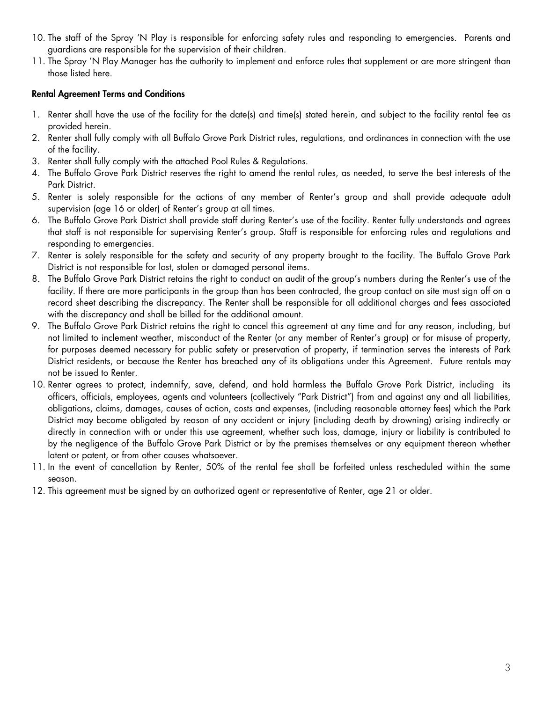- 10. The staff of the Spray 'N Play is responsible for enforcing safety rules and responding to emergencies. Parents and guardians are responsible for the supervision of their children.
- 11. The Spray 'N Play Manager has the authority to implement and enforce rules that supplement or are more stringent than those listed here.

#### Rental Agreement Terms and Conditions

- 1. Renter shall have the use of the facility for the date(s) and time(s) stated herein, and subject to the facility rental fee as provided herein.
- 2. Renter shall fully comply with all Buffalo Grove Park District rules, regulations, and ordinances in connection with the use of the facility.
- 3. Renter shall fully comply with the attached Pool Rules & Regulations.
- 4. The Buffalo Grove Park District reserves the right to amend the rental rules, as needed, to serve the best interests of the Park District.
- 5. Renter is solely responsible for the actions of any member of Renter's group and shall provide adequate adult supervision (age 16 or older) of Renter's group at all times.
- 6. The Buffalo Grove Park District shall provide staff during Renter's use of the facility. Renter fully understands and agrees that staff is not responsible for supervising Renter's group. Staff is responsible for enforcing rules and regulations and responding to emergencies.
- 7. Renter is solely responsible for the safety and security of any property brought to the facility. The Buffalo Grove Park District is not responsible for lost, stolen or damaged personal items.
- 8. The Buffalo Grove Park District retains the right to conduct an audit of the group's numbers during the Renter's use of the facility. If there are more participants in the group than has been contracted, the group contact on site must sign off on a record sheet describing the discrepancy. The Renter shall be responsible for all additional charges and fees associated with the discrepancy and shall be billed for the additional amount.
- 9. The Buffalo Grove Park District retains the right to cancel this agreement at any time and for any reason, including, but not limited to inclement weather, misconduct of the Renter (or any member of Renter's group) or for misuse of property, for purposes deemed necessary for public safety or preservation of property, if termination serves the interests of Park District residents, or because the Renter has breached any of its obligations under this Agreement. Future rentals may not be issued to Renter.
- 10. Renter agrees to protect, indemnify, save, defend, and hold harmless the Buffalo Grove Park District, including its officers, officials, employees, agents and volunteers (collectively "Park District") from and against any and all liabilities, obligations, claims, damages, causes of action, costs and expenses, (including reasonable attorney fees) which the Park District may become obligated by reason of any accident or injury (including death by drowning) arising indirectly or directly in connection with or under this use agreement, whether such loss, damage, injury or liability is contributed to by the negligence of the Buffalo Grove Park District or by the premises themselves or any equipment thereon whether latent or patent, or from other causes whatsoever.
- 11. In the event of cancellation by Renter, 50% of the rental fee shall be forfeited unless rescheduled within the same season.
- 12. This agreement must be signed by an authorized agent or representative of Renter, age 21 or older.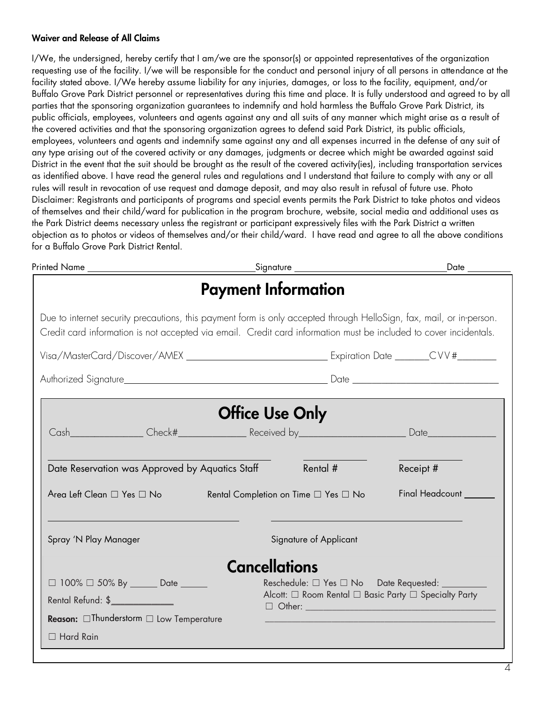#### Waiver and Release of All Claims

I/We, the undersigned, hereby certify that I am/we are the sponsor(s) or appointed representatives of the organization requesting use of the facility. I/we will be responsible for the conduct and personal injury of all persons in attendance at the facility stated above. I/We hereby assume liability for any injuries, damages, or loss to the facility, equipment, and/or Buffalo Grove Park District personnel or representatives during this time and place. It is fully understood and agreed to by all parties that the sponsoring organization guarantees to indemnify and hold harmless the Buffalo Grove Park District, its public officials, employees, volunteers and agents against any and all suits of any manner which might arise as a result of the covered activities and that the sponsoring organization agrees to defend said Park District, its public officials, employees, volunteers and agents and indemnify same against any and all expenses incurred in the defense of any suit of any type arising out of the covered activity or any damages, judgments or decree which might be awarded against said District in the event that the suit should be brought as the result of the covered activity(ies), including transportation services as identified above. I have read the general rules and regulations and I understand that failure to comply with any or all rules will result in revocation of use request and damage deposit, and may also result in refusal of future use. Photo Disclaimer: Registrants and participants of programs and special events permits the Park District to take photos and videos of themselves and their child/ward for publication in the program brochure, website, social media and additional uses as the Park District deems necessary unless the registrant or participant expressively files with the Park District a written objection as to photos or videos of themselves and/or their child/ward. I have read and agree to all the above conditions for a Buffalo Grove Park District Rental.

| Printed Name _________________________                                                                                                                            |                                                                                                                                                                                                                                           | $\_Date$ $\_$                                                                                             |  |
|-------------------------------------------------------------------------------------------------------------------------------------------------------------------|-------------------------------------------------------------------------------------------------------------------------------------------------------------------------------------------------------------------------------------------|-----------------------------------------------------------------------------------------------------------|--|
|                                                                                                                                                                   | <b>Payment Information</b>                                                                                                                                                                                                                |                                                                                                           |  |
|                                                                                                                                                                   | Due to internet security precautions, this payment form is only accepted through HelloSign, fax, mail, or in-person.<br>Credit card information is not accepted via email. Credit card information must be included to cover incidentals. |                                                                                                           |  |
|                                                                                                                                                                   |                                                                                                                                                                                                                                           |                                                                                                           |  |
|                                                                                                                                                                   |                                                                                                                                                                                                                                           |                                                                                                           |  |
|                                                                                                                                                                   | <b>Office Use Only</b>                                                                                                                                                                                                                    |                                                                                                           |  |
|                                                                                                                                                                   |                                                                                                                                                                                                                                           |                                                                                                           |  |
| Date Reservation was Approved by Aquatics Staff                                                                                                                   | Rental #                                                                                                                                                                                                                                  | Receipt #                                                                                                 |  |
| Area Left Clean □ Yes □ No                                                                                                                                        | Rental Completion on Time □ Yes □ No                                                                                                                                                                                                      | Final Headcount __                                                                                        |  |
| Spray 'N Play Manager                                                                                                                                             | Signature of Applicant                                                                                                                                                                                                                    |                                                                                                           |  |
|                                                                                                                                                                   | <b>Cancellations</b>                                                                                                                                                                                                                      |                                                                                                           |  |
| $\Box$ 100% $\Box$ 50% By _______ Date ______<br>Rental Refund: \$ Production of the set of the set of the set of the set of the set of the set of the set of the |                                                                                                                                                                                                                                           | Reschedule: □ Yes □ No Date Requested: _________<br>Alcott: □ Room Rental □ Basic Party □ Specialty Party |  |
| Reason: <b>Thunderstorm</b> D Low Temperature<br>$\Box$ Hard Rain                                                                                                 |                                                                                                                                                                                                                                           |                                                                                                           |  |
|                                                                                                                                                                   |                                                                                                                                                                                                                                           |                                                                                                           |  |